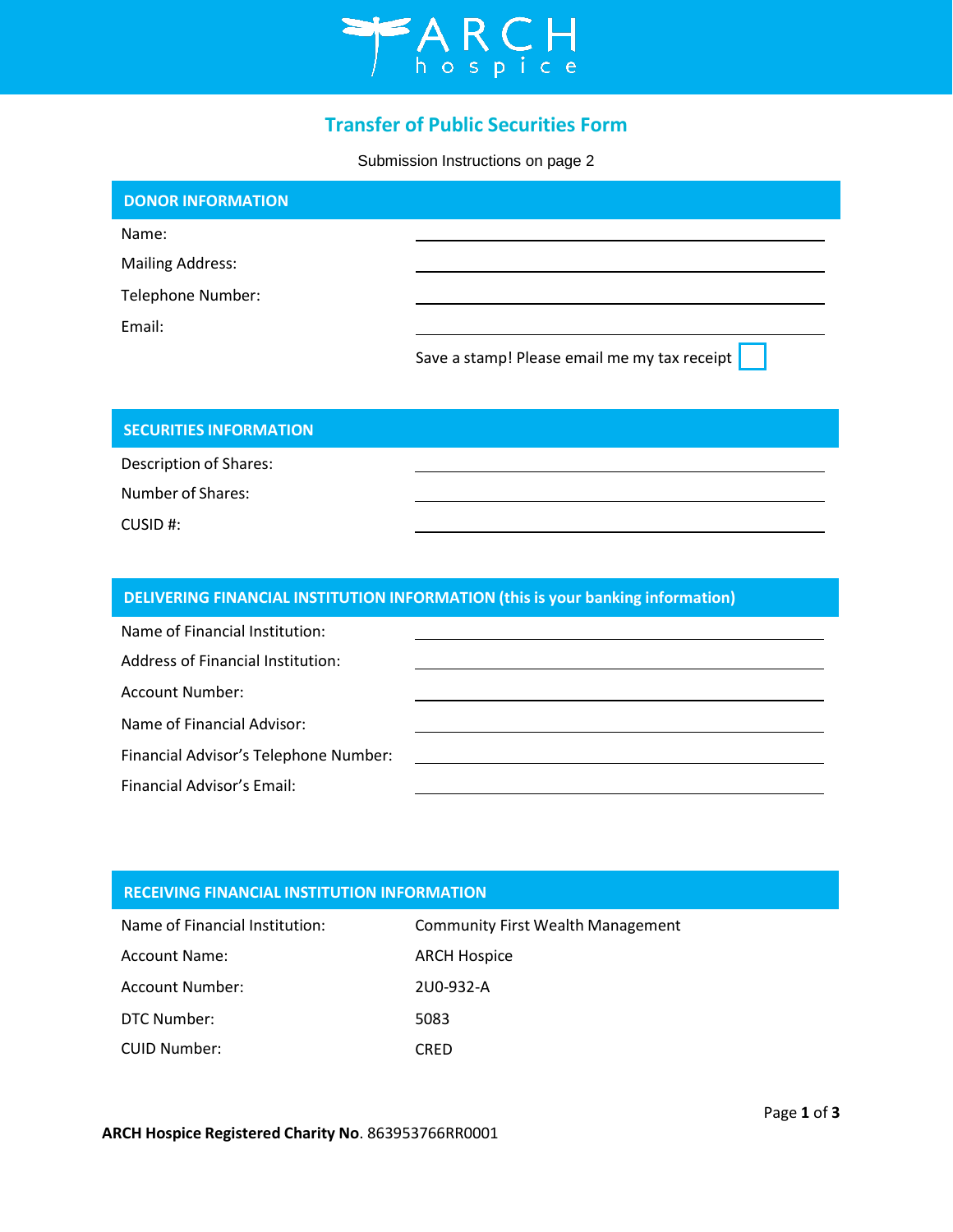

# **Transfer of Public Securities Form**

Submission Instructions on page 2

| <b>DONOR INFORMATION</b> |                                              |
|--------------------------|----------------------------------------------|
| Name:                    |                                              |
| <b>Mailing Address:</b>  |                                              |
| Telephone Number:        |                                              |
| Email:                   |                                              |
|                          | Save a stamp! Please email me my tax receipt |

## **SECURITIES INFORMATION**

Description of Shares:

Number of Shares:

CUSID #:

# **DELIVERING FINANCIAL INSTITUTION INFORMATION (this is your banking information)**

| Name of Financial Institution:        |  |
|---------------------------------------|--|
| Address of Financial Institution:     |  |
| Account Number:                       |  |
| Name of Financial Advisor:            |  |
| Financial Advisor's Telephone Number: |  |
| Financial Advisor's Email:            |  |

### **RECEIVING FINANCIAL INSTITUTION INFORMATION**

| Name of Financial Institution: | <b>Community First Wealth Management</b> |
|--------------------------------|------------------------------------------|
| <b>Account Name:</b>           | <b>ARCH Hospice</b>                      |
| Account Number:                | 2U0-932-A                                |
| DTC Number:                    | 5083                                     |
| <b>CUID Number:</b>            | CRED                                     |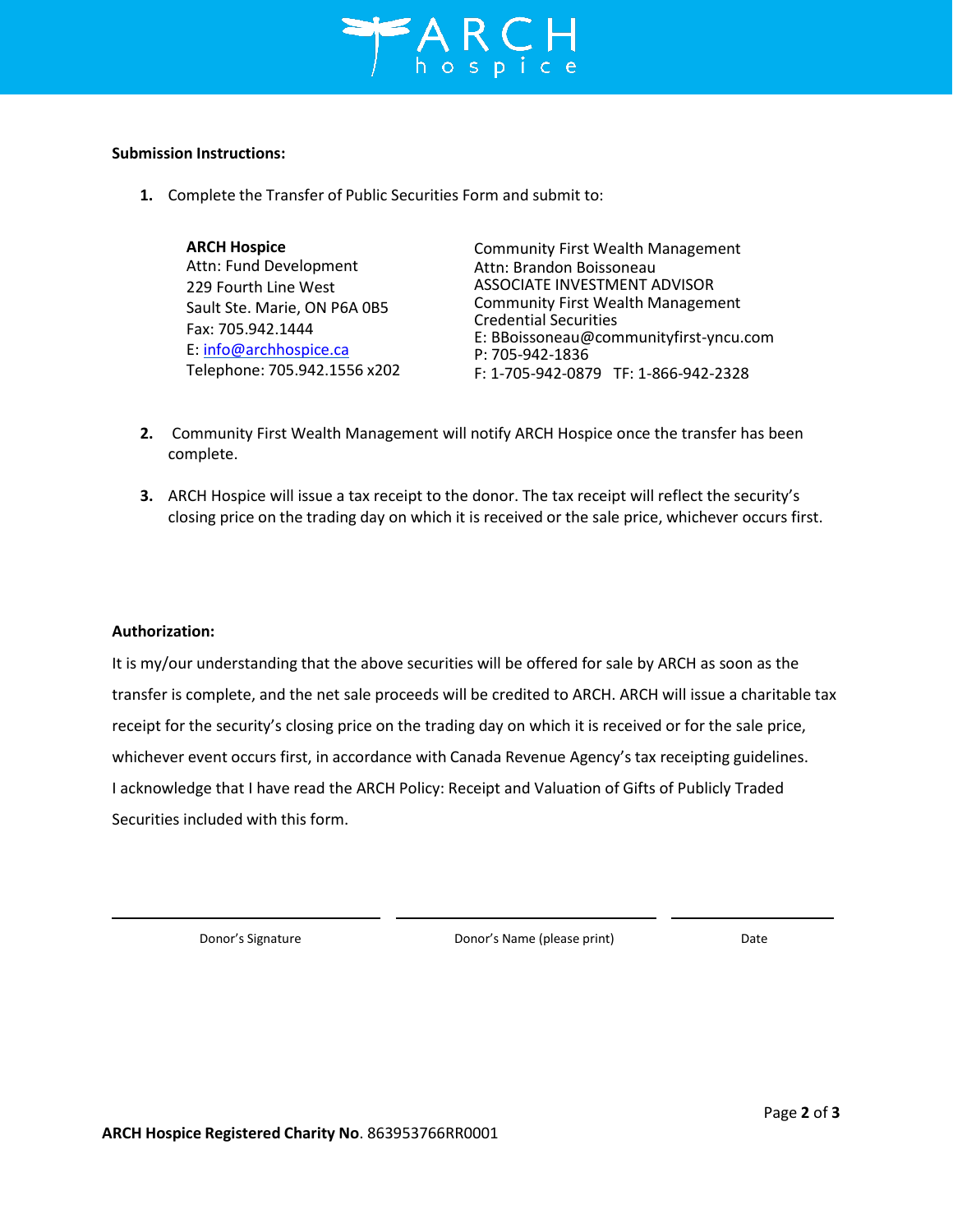

#### **Submission Instructions:**

**1.** Complete the Transfer of Public Securities Form and submit to:

| <b>ARCH Hospice</b><br>Attn: Fund Development<br>229 Fourth Line West<br>Sault Ste. Marie, ON P6A 0B5<br>Fax: 705.942.1444<br>E: info@archhospice.ca | <b>Community First Wealth Management</b><br>Attn: Brandon Boissoneau<br>ASSOCIATE INVESTMENT ADVISOR<br><b>Community First Wealth Management</b><br><b>Credential Securities</b><br>E: BBoissoneau@communityfirst-yncu.com<br>P: 705-942-1836 |
|------------------------------------------------------------------------------------------------------------------------------------------------------|-----------------------------------------------------------------------------------------------------------------------------------------------------------------------------------------------------------------------------------------------|
| Telephone: 705.942.1556 x202                                                                                                                         | F: 1-705-942-0879 TF: 1-866-942-2328                                                                                                                                                                                                          |

- **2.** Community First Wealth Management will notify ARCH Hospice once the transfer has been complete.
- **3.** ARCH Hospice will issue a tax receipt to the donor. The tax receipt will reflect the security's closing price on the trading day on which it is received or the sale price, whichever occurs first.

#### **Authorization:**

It is my/our understanding that the above securities will be offered for sale by ARCH as soon as the transfer is complete, and the net sale proceeds will be credited to ARCH. ARCH will issue a charitable tax receipt for the security's closing price on the trading day on which it is received or for the sale price, whichever event occurs first, in accordance with Canada Revenue Agency's tax receipting guidelines. I acknowledge that I have read the ARCH Policy: Receipt and Valuation of Gifts of Publicly Traded Securities included with this form.

Donor's Signature Donor's Name (please print) Date